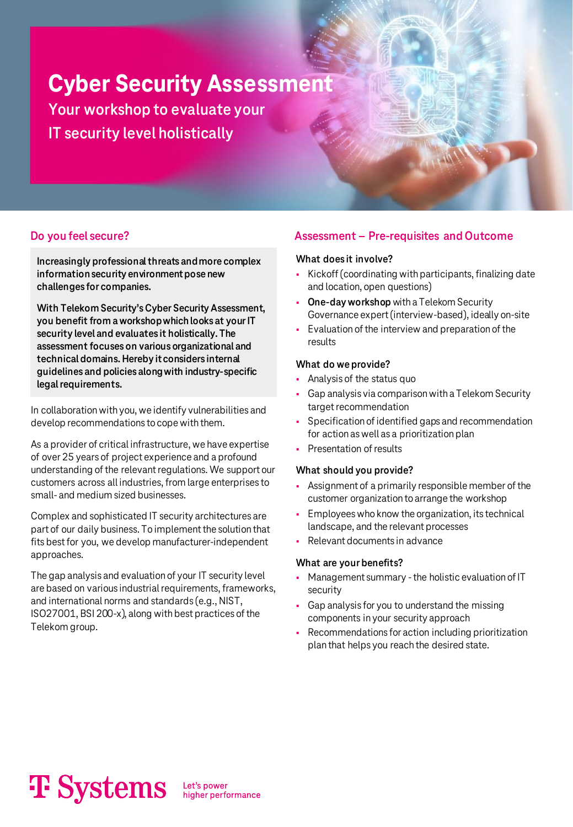**Cyber Security Assessment Your workshop to evaluate your IT security level holistically**

**Increasingly professional threats and more complex information security environment pose new challenges for companies.**

**With Telekom Security's Cyber Security Assessment, you benefit from a workshop which looks at your IT security level and evaluates it holistically. The assessment focuses on various organizational and technical domains. Hereby it considers internal guidelines and policies along with industry-specific legal requirements.**

In collaboration with you, we identify vulnerabilities and develop recommendations to cope with them.

As a provider of critical infrastructure, we have expertise of over 25 years of project experience and a profound understanding of the relevant regulations. We support our customers across all industries, from large enterprises to small- and medium sized businesses.

Complex and sophisticated IT security architectures are part of our daily business. To implement the solution that fits best for you, we develop manufacturer-independent approaches.

The gap analysis and evaluation of your IT security level are based on various industrial requirements, frameworks, and international norms and standards (e.g., NIST, ISO27001, BSI 200-x), along with best practices of the Telekom group.

### **Do you feel secure? Assessment – Pre-requisites and Outcome**

#### **What does it involve?**

- Kickoff (coordinating with participants, finalizing date and location, open questions)
- **One-day workshop** with a Telekom Security Governance expert (interview-based), ideally on-site
- Evaluation of the interview and preparation of the results

#### **What do we provide?**

- Analysis of the status quo
- Gap analysis via comparison with a Telekom Security target recommendation
- Specification of identified gaps and recommendation for action as well as a prioritization plan
- Presentation of results

#### **What should you provide?**

- Assignment of a primarily responsible member of the customer organization to arrange the workshop
- **Employees who know the organization, its technical** landscape, and the relevant processes
- Relevant documents in advance

#### **What are your benefits?**

- Management summary -the holistic evaluation of IT security
- Gap analysis for you to understand the missing components in your security approach
- Recommendations for action including prioritization plan that helps you reach the desired state.

# **T** Systems

Let's power<br>higher performance